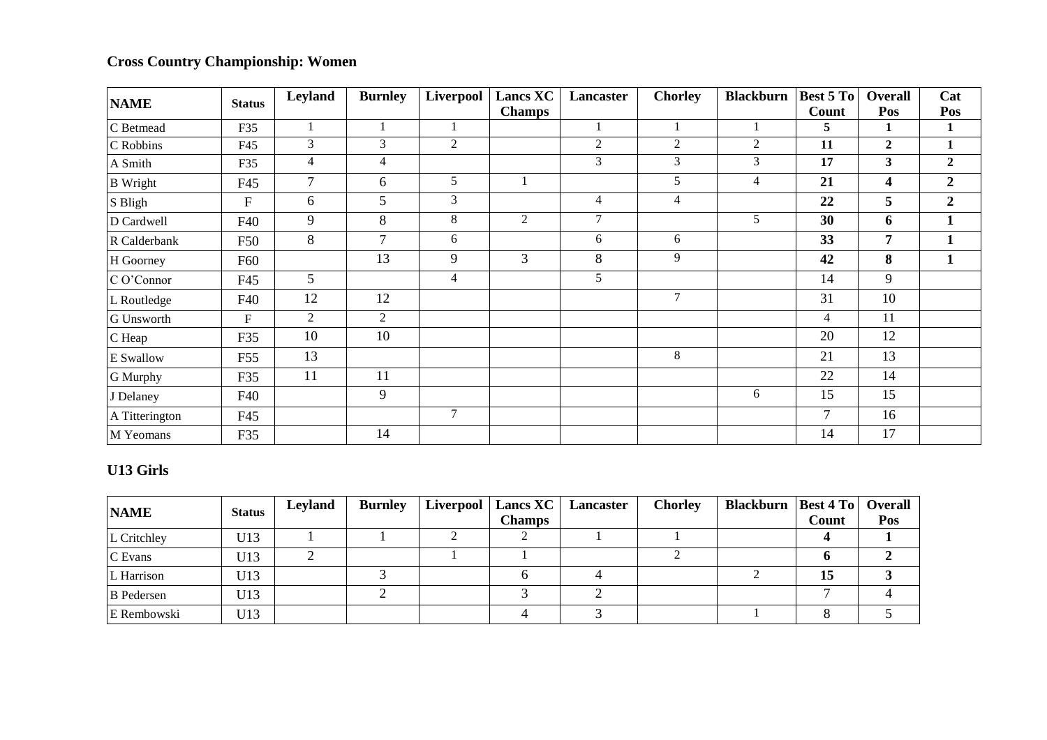## **Cross Country Championship: Women**

| <b>NAME</b>       | <b>Status</b> | Leyland        | <b>Burnley</b> | Liverpool      | <b>Lancs XC</b> | Lancaster      | <b>Chorley</b> | <b>Blackburn</b> | Best 5 To      | <b>Overall</b>   | Cat              |
|-------------------|---------------|----------------|----------------|----------------|-----------------|----------------|----------------|------------------|----------------|------------------|------------------|
|                   |               |                |                |                | <b>Champs</b>   |                |                |                  | Count          | Pos              | Pos              |
| C Betmead         | F35           |                |                | 1              |                 |                |                |                  | 5              | 1                | 1                |
| C Robbins         | F45           | 3              | 3              | $\overline{2}$ |                 | $\overline{2}$ | 2              | $\overline{2}$   | 11             | $\boldsymbol{2}$ |                  |
| A Smith           | F35           | $\overline{4}$ | $\overline{4}$ |                |                 | 3              | 3              | $\mathfrak{Z}$   | 17             | 3                | $\boldsymbol{2}$ |
| <b>B</b> Wright   | F45           | 7              | 6              | 5              |                 |                | 5              | $\overline{4}$   | 21             | 4                | $\overline{2}$   |
| S Bligh           | $\mathbf{F}$  | 6              | 5              | $\mathfrak{Z}$ |                 | 4              | $\overline{4}$ |                  | 22             | 5                | $\overline{2}$   |
| D Cardwell        | F40           | 9              | 8              | 8              | 2               | $\tau$         |                | 5                | 30             | 6                | 1                |
| R Calderbank      | F50           | 8              | $\overline{7}$ | 6              |                 | 6              | 6              |                  | 33             | 7                |                  |
| H Goorney         | F60           |                | 13             | 9              | 3               | 8              | 9              |                  | 42             | 8                | 1                |
| C O'Connor        | F45           | 5              |                | $\overline{4}$ |                 | 5              |                |                  | 14             | 9                |                  |
| L Routledge       | F40           | 12             | 12             |                |                 |                | $\tau$         |                  | 31             | 10               |                  |
| <b>G</b> Unsworth | $\mathbf F$   | 2              | 2              |                |                 |                |                |                  | $\overline{4}$ | 11               |                  |
| C Heap            | F35           | 10             | 10             |                |                 |                |                |                  | 20             | 12               |                  |
| E Swallow         | F55           | 13             |                |                |                 |                | 8              |                  | 21             | 13               |                  |
| G Murphy          | F35           | 11             | 11             |                |                 |                |                |                  | 22             | 14               |                  |
| J Delaney         | F40           |                | 9              |                |                 |                |                | 6                | 15             | 15               |                  |
| A Titterington    | F45           |                |                | $\tau$         |                 |                |                |                  | $\overline{7}$ | 16               |                  |
| M Yeomans         | F35           |                | 14             |                |                 |                |                |                  | 14             | 17               |                  |

## **U13 Girls**

| <b>NAME</b>       | <b>Status</b> | Leyland | <b>Burnley</b> | Liverpool | Lancs XC      | Lancaster | <b>Chorley</b> | Blackburn   Best 4 To   Overall |       |     |
|-------------------|---------------|---------|----------------|-----------|---------------|-----------|----------------|---------------------------------|-------|-----|
|                   |               |         |                |           | <b>Champs</b> |           |                |                                 | Count | Pos |
| L Critchley       | U13           |         |                |           |               |           |                |                                 |       |     |
| C Evans           | U13           |         |                |           |               |           |                |                                 |       |     |
| L Harrison        | U13           |         |                |           |               |           |                |                                 | 15    |     |
| <b>B</b> Pedersen | U13           |         |                |           |               |           |                |                                 |       |     |
| E Rembowski       | U13           |         |                |           |               |           |                |                                 |       |     |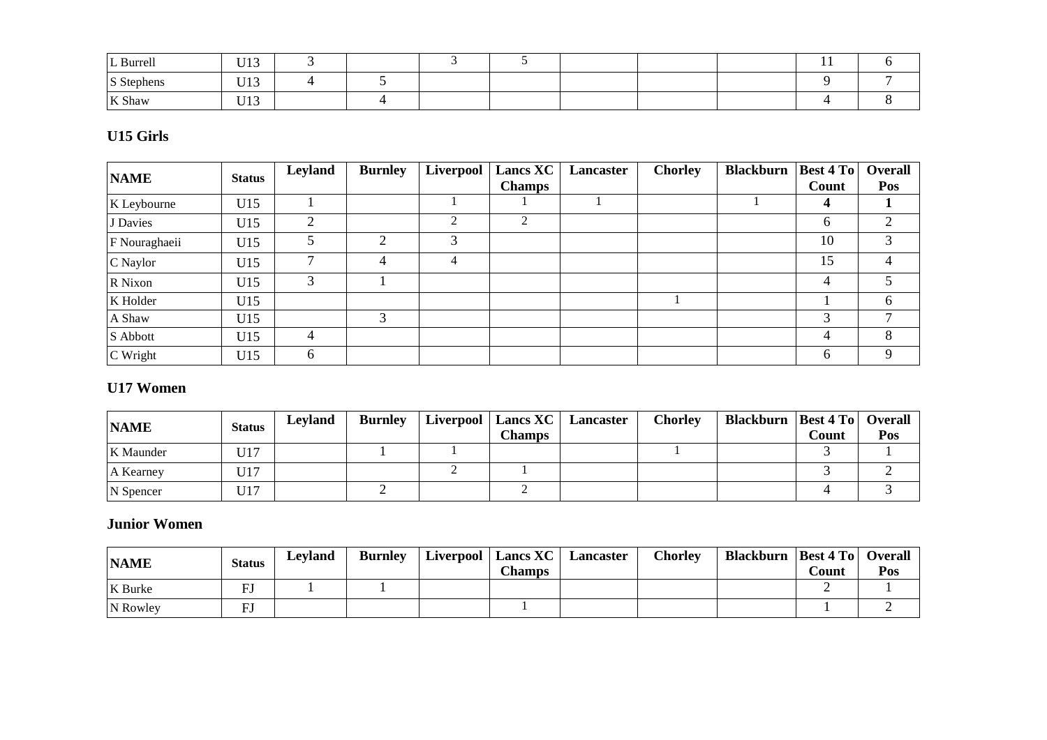| L Burrell  | TT10<br>U LJ |  |  |  | . . |  |
|------------|--------------|--|--|--|-----|--|
| S Stephens | TT12<br>U LJ |  |  |  |     |  |
| K Shaw     | TT12<br>UIJ  |  |  |  |     |  |

## **U15 Girls**

| <b>NAME</b>   | <b>Status</b> | Leyland | <b>Burnley</b> | Liverpool      | <b>Lancs XC</b> | Lancaster | <b>Chorley</b> | <b>Blackburn</b> | Best 4 To | Overall |
|---------------|---------------|---------|----------------|----------------|-----------------|-----------|----------------|------------------|-----------|---------|
|               |               |         |                |                | <b>Champs</b>   |           |                |                  | Count     | Pos     |
| K Leybourne   | U15           |         |                |                |                 |           |                |                  | 4         |         |
| J Davies      | U15           | 2       |                | $\mathfrak{D}$ | 2               |           |                |                  | 6         | 2       |
| F Nouraghaeii | U15           |         | ◠              | 3              |                 |           |                |                  | 10        | 3       |
| C Naylor      | U15           |         | 4              | 4              |                 |           |                |                  | 15        | 4       |
| R Nixon       | U15           | 3       |                |                |                 |           |                |                  | 4         | 5.      |
| K Holder      | U15           |         |                |                |                 |           |                |                  |           | 6       |
| A Shaw        | U15           |         | 3              |                |                 |           |                |                  | 3         | ⇁       |
| S Abbott      | U15           | 4       |                |                |                 |           |                |                  | 4         | 8       |
| C Wright      | U15           | 6       |                |                |                 |           |                |                  | 6         | 9       |

#### **U17 Women**

| <b>NAME</b> | <b>Status</b> | Leyland | <b>Burnley</b> | Liverpool   Lancs XC  <br>Champs | Lancaster | Chorley | <b>Blackburn   Best 4 To   Overall</b> | Count | Pos |
|-------------|---------------|---------|----------------|----------------------------------|-----------|---------|----------------------------------------|-------|-----|
| K Maunder   | U17           |         |                |                                  |           |         |                                        |       |     |
| A Kearney   | U17           |         |                |                                  |           |         |                                        |       |     |
| N Spencer   | U17           |         |                |                                  |           |         |                                        |       |     |

#### **Junior Women**

| <b>NAME</b> | <b>Status</b> | Levland | <b>Burnley</b> | Liverpool   Lancs XC  <br><b>Champs</b> | Lancaster | <b>Chorley</b> | <b>Blackburn   Best 4 To   Overall</b> | Count | Pos |
|-------------|---------------|---------|----------------|-----------------------------------------|-----------|----------------|----------------------------------------|-------|-----|
| K Burke     | m۱            |         |                |                                         |           |                |                                        |       |     |
| N Rowley    |               |         |                |                                         |           |                |                                        |       |     |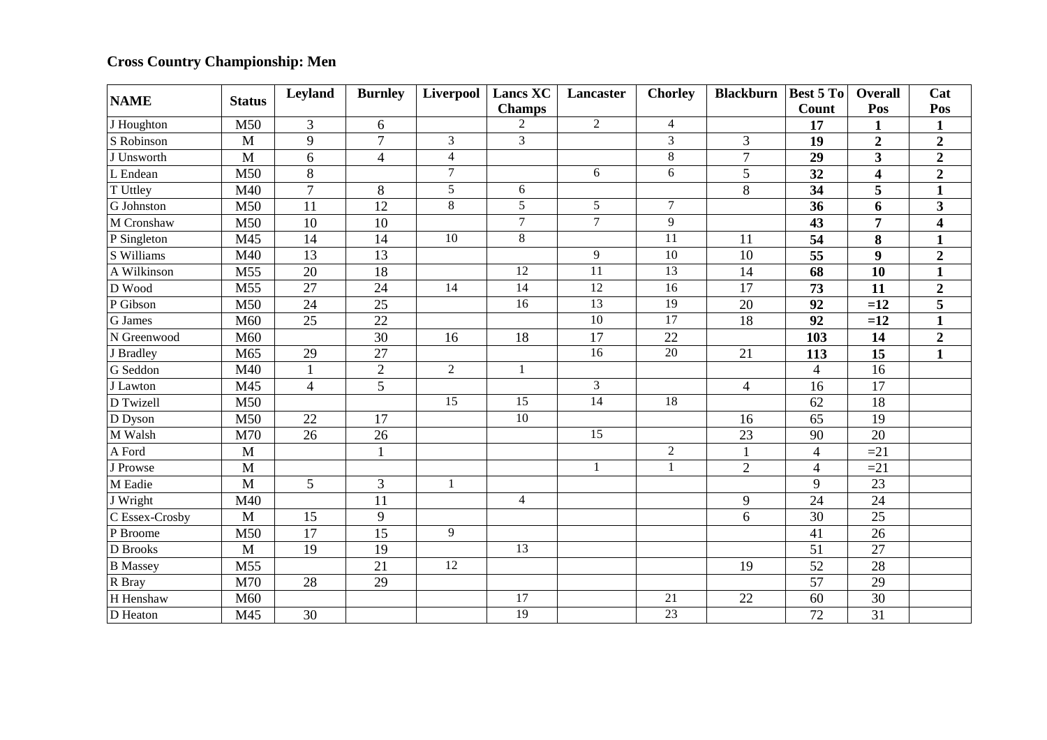# **Cross Country Championship: Men**

| <b>NAME</b>     | <b>Status</b> | Leyland         | <b>Burnley</b>  | Liverpool       | <b>Lancs XC</b> | Lancaster       | <b>Chorley</b>  | <b>Blackburn</b> | <b>Best 5 To</b> | <b>Overall</b>          | Cat                     |
|-----------------|---------------|-----------------|-----------------|-----------------|-----------------|-----------------|-----------------|------------------|------------------|-------------------------|-------------------------|
|                 |               |                 |                 |                 | <b>Champs</b>   |                 |                 |                  | Count            | Pos                     | Pos                     |
| J Houghton      | M50           | 3               | 6               |                 | $\overline{2}$  | $\overline{2}$  | $\overline{4}$  |                  | 17               | $\mathbf{1}$            | $\mathbf{1}$            |
| S Robinson      | M             | 9               | $\overline{7}$  | 3               | $\overline{3}$  |                 | 3               | 3                | 19               | $\overline{2}$          | $\overline{2}$          |
| J Unsworth      | M             | 6               | $\overline{4}$  | $\overline{4}$  |                 |                 | $\overline{8}$  | $\overline{7}$   | 29               | $\mathbf{3}$            | $\boldsymbol{2}$        |
| L Endean        | M50           | 8               |                 | $\overline{7}$  |                 | 6               | 6               | $\overline{5}$   | $\overline{32}$  | $\overline{\mathbf{4}}$ | $\overline{2}$          |
| T Uttley        | M40           | $\overline{7}$  | 8               | 5               | 6               |                 |                 | 8                | 34               | 5                       | $\mathbf{1}$            |
| G Johnston      | M50           | $\overline{11}$ | $\overline{12}$ | 8               | $\overline{5}$  | $\overline{5}$  | $\overline{7}$  |                  | $\overline{36}$  | 6                       | $\overline{\mathbf{3}}$ |
| M Cronshaw      | M50           | 10              | $\overline{10}$ |                 | $\overline{7}$  | $\overline{7}$  | 9               |                  | 43               | 7                       | $\overline{\mathbf{4}}$ |
| P Singleton     | M45           | $\overline{14}$ | 14              | $\overline{10}$ | $\overline{8}$  |                 | $\overline{11}$ | 11               | $\overline{54}$  | 8                       | $\mathbf{1}$            |
| S Williams      | M40           | $\overline{13}$ | $\overline{13}$ |                 |                 | 9               | 10              | 10               | $\overline{55}$  | 9                       | $\boldsymbol{2}$        |
| A Wilkinson     | M55           | 20              | 18              |                 | 12              | $\overline{11}$ | 13              | 14               | 68               | $\overline{10}$         | $\mathbf{1}$            |
| D Wood          | M55           | $\overline{27}$ | $\overline{24}$ | 14              | $\overline{14}$ | 12              | 16              | $\overline{17}$  | 73               | 11                      | $\boldsymbol{2}$        |
| P Gibson        | M50           | 24              | 25              |                 | 16              | 13              | 19              | 20               | $\overline{92}$  | $=12$                   | $\overline{5}$          |
| G James         | M60           | 25              | 22              |                 |                 | 10              | 17              | 18               | 92               | $=12$                   | $\mathbf{1}$            |
| N Greenwood     | M60           |                 | $\overline{30}$ | 16              | 18              | 17              | 22              |                  | 103              | 14                      | $\boldsymbol{2}$        |
| J Bradley       | M65           | 29              | $\overline{27}$ |                 |                 | 16              | 20              | 21               | 113              | $\overline{15}$         | $\mathbf{1}$            |
| G Seddon        | M40           | $\mathbf{1}$    | $\overline{2}$  | $\overline{2}$  |                 |                 |                 |                  | $\overline{4}$   | 16                      |                         |
| J Lawton        | M45           | $\overline{4}$  | $\overline{5}$  |                 |                 | $\overline{3}$  |                 | $\overline{4}$   | 16               | $\overline{17}$         |                         |
| D Twizell       | M50           |                 |                 | 15              | 15              | 14              | 18              |                  | 62               | 18                      |                         |
| D Dyson         | M50           | 22              | $\overline{17}$ |                 | $\overline{10}$ |                 |                 | 16               | $\overline{65}$  | $\overline{19}$         |                         |
| M Walsh         | M70           | $\overline{26}$ | $\overline{26}$ |                 |                 | 15              |                 | $\overline{23}$  | 90               | $\overline{20}$         |                         |
| A Ford          | $\mathbf{M}$  |                 | $\mathbf{1}$    |                 |                 |                 | $\overline{2}$  |                  | $\overline{4}$   | $=21$                   |                         |
| J Prowse        | M             |                 |                 |                 |                 | $\mathbf{1}$    | $\mathbf{1}$    | $\overline{2}$   | $\overline{4}$   | $=21$                   |                         |
| M Eadie         | $\mathbf{M}$  | 5               | $\overline{3}$  |                 |                 |                 |                 |                  | 9                | 23                      |                         |
| J Wright        | M40           |                 | 11              |                 | $\overline{4}$  |                 |                 | 9                | $\overline{24}$  | 24                      |                         |
| C Essex-Crosby  | M             | 15              | 9               |                 |                 |                 |                 | 6                | $\overline{30}$  | 25                      |                         |
| P Broome        | M50           | 17              | $\overline{15}$ | 9               |                 |                 |                 |                  | $\overline{41}$  | 26                      |                         |
| <b>D</b> Brooks | M             | 19              | 19              |                 | $\overline{13}$ |                 |                 |                  | 51               | 27                      |                         |
| <b>B</b> Massey | M55           |                 | $\overline{21}$ | 12              |                 |                 |                 | 19               | $\overline{52}$  | $\overline{28}$         |                         |
| R Bray          | M70           | 28              | 29              |                 |                 |                 |                 |                  | 57               | 29                      |                         |
| H Henshaw       | M60           |                 |                 |                 | 17              |                 | 21              | 22               | 60               | 30                      |                         |
| D Heaton        | M45           | $\overline{30}$ |                 |                 | 19              |                 | 23              |                  | 72               | $\overline{31}$         |                         |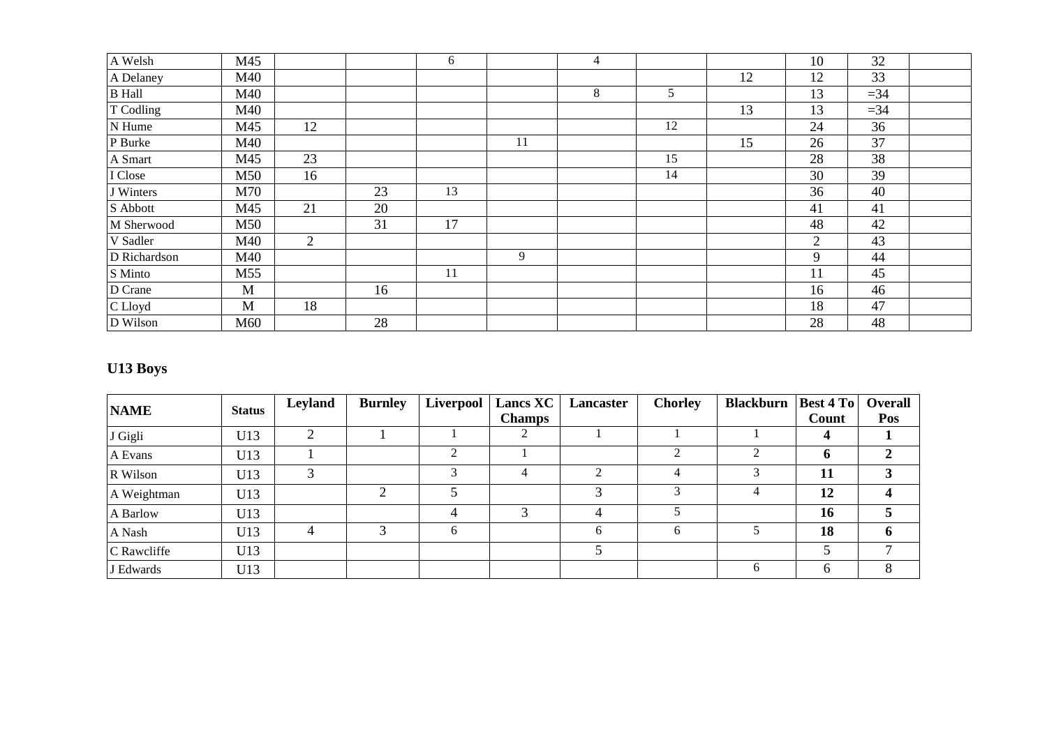| A Welsh       | M45 |                |    | 6  |    | $\overline{4}$ |    |    | 10             | 32    |  |
|---------------|-----|----------------|----|----|----|----------------|----|----|----------------|-------|--|
| A Delaney     | M40 |                |    |    |    |                |    | 12 | 12             | 33    |  |
| <b>B</b> Hall | M40 |                |    |    |    | 8              | 5  |    | 13             | $=34$ |  |
| T Codling     | M40 |                |    |    |    |                |    | 13 | 13             | $=34$ |  |
| N Hume        | M45 | 12             |    |    |    |                | 12 |    | 24             | 36    |  |
| P Burke       | M40 |                |    |    | 11 |                |    | 15 | 26             | 37    |  |
| A Smart       | M45 | 23             |    |    |    |                | 15 |    | 28             | 38    |  |
| I Close       | M50 | 16             |    |    |    |                | 14 |    | 30             | 39    |  |
| J Winters     | M70 |                | 23 | 13 |    |                |    |    | 36             | 40    |  |
| S Abbott      | M45 | 21             | 20 |    |    |                |    |    | 41             | 41    |  |
| M Sherwood    | M50 |                | 31 | 17 |    |                |    |    | 48             | 42    |  |
| V Sadler      | M40 | $\overline{2}$ |    |    |    |                |    |    | $\overline{2}$ | 43    |  |
| D Richardson  | M40 |                |    |    | 9  |                |    |    | 9              | 44    |  |
| S Minto       | M55 |                |    | 11 |    |                |    |    | 11             | 45    |  |
| D Crane       | M   |                | 16 |    |    |                |    |    | 16             | 46    |  |
| C Lloyd       | M   | 18             |    |    |    |                |    |    | 18             | 47    |  |
| D Wilson      | M60 |                | 28 |    |    |                |    |    | 28             | 48    |  |

# **U13 Boys**

| <b>NAME</b> | <b>Status</b> | Leyland    | <b>Burnley</b> | Liverpool    | <b>Lancs XC</b> | Lancaster | <b>Chorley</b> | <b>Blackburn</b> | <b>Best 4 To</b> | Overall |
|-------------|---------------|------------|----------------|--------------|-----------------|-----------|----------------|------------------|------------------|---------|
|             |               |            |                |              | <b>Champs</b>   |           |                |                  | Count            | Pos     |
| J Gigli     | U13           | $\bigcirc$ |                |              |                 |           |                |                  |                  |         |
| A Evans     | U13           |            |                | ↑            |                 |           | $\bigcirc$     | 2                | $\mathbf b$      | 2       |
| R Wilson    | U13           |            |                |              | 4               |           | 4              | 3                | 11               |         |
| A Weightman | U13           |            | ◠              |              |                 |           |                | 4                | 12               |         |
| A Barlow    | U13           |            |                | 4            | ⌒               |           |                |                  | 16               |         |
| A Nash      | U13           | 4          |                | <sub>(</sub> |                 |           | 6              |                  | 18               | 6       |
| C Rawcliffe | U13           |            |                |              |                 |           |                |                  |                  |         |
| J Edwards   | U13           |            |                |              |                 |           |                | 6                | 6                |         |